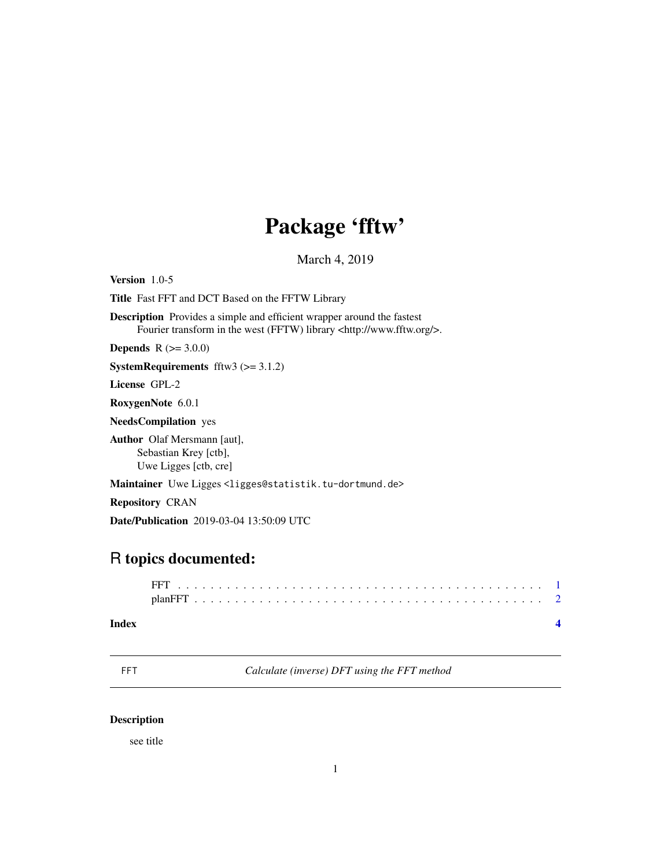## Package 'fftw'

March 4, 2019

<span id="page-0-0"></span>Version 1.0-5 Title Fast FFT and DCT Based on the FFTW Library Description Provides a simple and efficient wrapper around the fastest Fourier transform in the west (FFTW) library <http://www.fftw.org/>. **Depends**  $R (= 3.0.0)$ **SystemRequirements** fftw3  $(>= 3.1.2)$ License GPL-2 RoxygenNote 6.0.1 NeedsCompilation yes Author Olaf Mersmann [aut], Sebastian Krey [ctb], Uwe Ligges [ctb, cre] Maintainer Uwe Ligges <ligges@statistik.tu-dortmund.de> Repository CRAN Date/Publication 2019-03-04 13:50:09 UTC

### R topics documented:

FFT . . . . . . . . . . . . . . . . . . . . . . . . . . . . . . . . . . . . . . . . . . . . . [1](#page-0-0) planFFT . . . . . . . . . . . . . . . . . . . . . . . . . . . . . . . . . . . . . . . . . . . [2](#page-1-0)

#### **Index** [4](#page-3-0)

<span id="page-0-1"></span>FFT *Calculate (inverse) DFT using the FFT method*

#### <span id="page-0-2"></span>Description

see title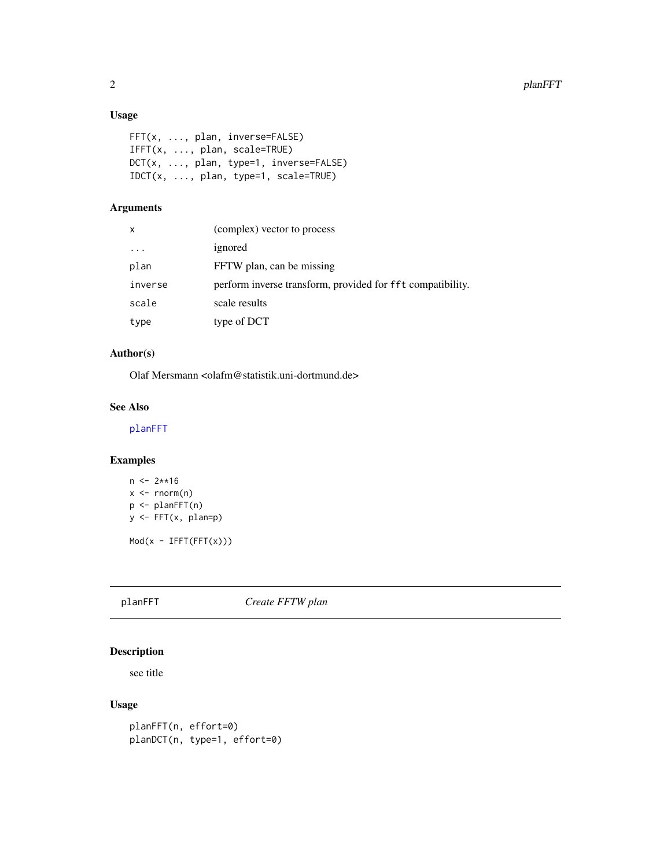#### <span id="page-1-0"></span>Usage

```
FFT(x, ..., plan, inverse=FALSE)
IFFT(x, ..., plan, scale=TRUE)
DCT(x, ..., plan, type=1, inverse=FALSE)
IDCT(x, ..., plan, type=1, scale=TRUE)
```
#### Arguments

| x       | (complex) vector to process                                |
|---------|------------------------------------------------------------|
| $\cdot$ | ignored                                                    |
| plan    | FFTW plan, can be missing                                  |
| inverse | perform inverse transform, provided for fft compatibility. |
| scale   | scale results                                              |
| type    | type of DCT                                                |

#### Author(s)

Olaf Mersmann <olafm@statistik.uni-dortmund.de>

#### See Also

[planFFT](#page-1-1)

#### Examples

```
n \le -2**16x \leftarrow \text{norm}(n)p <- planFFT(n)
y <- FFT(x, plan=p)
Mod(x - IFFT(FFT(x)))
```
<span id="page-1-1"></span>planFFT *Create FFTW plan*

#### Description

see title

#### Usage

planFFT(n, effort=0) planDCT(n, type=1, effort=0)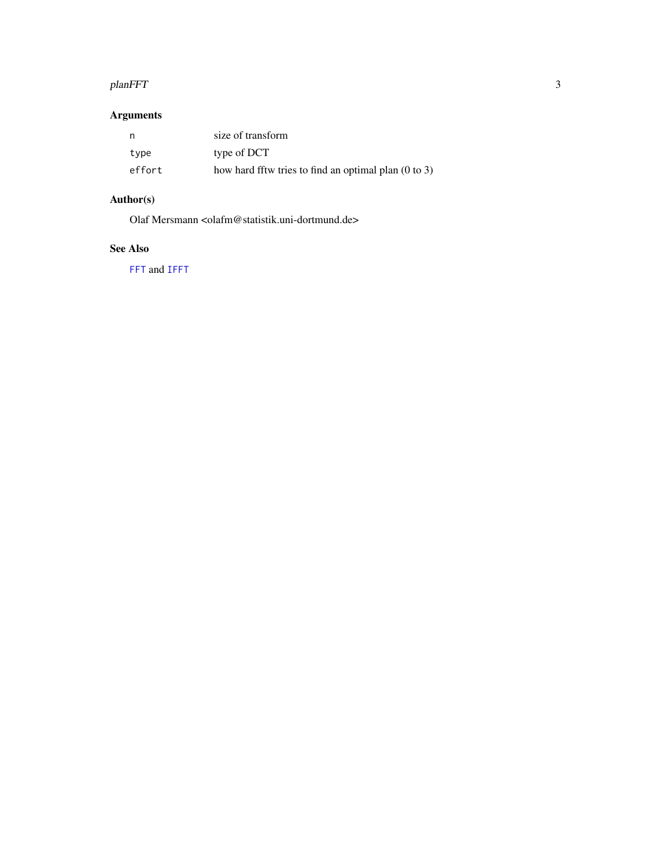#### <span id="page-2-0"></span>planFFT 3

#### Arguments

|        | size of transform                                               |
|--------|-----------------------------------------------------------------|
| type   | type of DCT                                                     |
| effort | how hard fftw tries to find an optimal plan $(0 \text{ to } 3)$ |

#### Author(s)

Olaf Mersmann <olafm@statistik.uni-dortmund.de>

#### See Also

[FFT](#page-0-1) and [IFFT](#page-0-2)